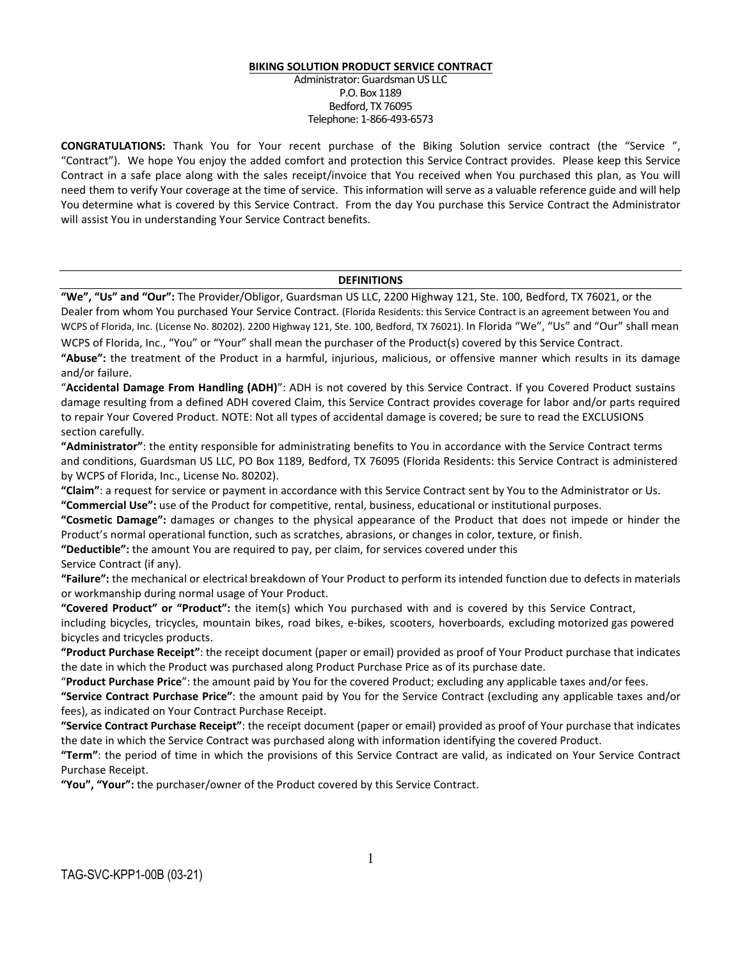#### **BIKING SOLUTION PRODUCT SERVICE CONTRACT**

Administrator: Guardsman US LLC P.O. Box 1189 Bedford, TX 76095 Telephone: 1-866-493-6573

**CONGRATULATIONS:** Thank You for Your recent purchase of the Biking Solution service contract (the "Service ", "Contract"). We hope You enjoy the added comfort and protection this Service Contract provides. Please keep this Service Contract in a safe place along with the sales receipt/invoice that You received when You purchased this plan, as You will need them to verify Your coverage at the time of service. This information will serve as a valuable reference guide and will help You determine what is covered by this Service Contract. From the day You purchase this Service Contract the Administrator will assist You in understanding Your Service Contract benefits.

#### **DEFINITIONS**

**"We", "Us" and "Our":** The Provider/Obligor, Guardsman US LLC, 2200 Highway 121, Ste. 100, Bedford, TX 76021, or the Dealer from whom You purchased Your Service Contract. (Florida Residents: this Service Contract is an agreement between You and WCPS of Florida, Inc. (License No. 80202). 2200 Highway 121, Ste. 100, Bedford, TX 76021). In Florida "We", "Us" and "Our" shall mean

WCPS of Florida, Inc., "You" or "Your" shall mean the purchaser of the Product(s) covered by this Service Contract. **"Abuse":** the treatment of the Product in a harmful, injurious, malicious, or offensive manner which results in its damage and/or failure.

"**Accidental Damage From Handling (ADH)**": ADH is not covered by this Service Contract. If you Covered Product sustains damage resulting from a defined ADH covered Claim, this Service Contract provides coverage for labor and/or parts required to repair Your Covered Product. NOTE: Not all types of accidental damage is covered; be sure to read the EXCLUSIONS section carefully.

**"Administrator"**: the entity responsible for administrating benefits to You in accordance with the Service Contract terms and conditions, Guardsman US LLC, PO Box 1189, Bedford, TX 76095 (Florida Residents: this Service Contract is administered by WCPS of Florida, Inc., License No. 80202).

**"Claim"**: a request for service or payment in accordance with this Service Contract sent by You to the Administrator or Us. **"Commercial Use":** use of the Product for competitive, rental, business, educational or institutional purposes.

**"Cosmetic Damage":** damages or changes to the physical appearance of the Product that does not impede or hinder the Product's normal operational function, such as scratches, abrasions, or changes in color, texture, or finish.

**"Deductible":** the amount You are required to pay, per claim, for services covered under this Service Contract (if any).

**"Failure":** the mechanical or electrical breakdown of Your Product to perform its intended function due to defects in materials or workmanship during normal usage of Your Product.

**"Covered Product" or "Product":** the item(s) which You purchased with and is covered by this Service Contract, including bicycles, tricycles, mountain bikes, road bikes, e-bikes, scooters, hoverboards, excluding motorized gas powered bicycles and tricycles products.

**"Product Purchase Receipt"**: the receipt document (paper or email) provided as proof of Your Product purchase that indicates the date in which the Product was purchased along Product Purchase Price as of its purchase date.

"**Product Purchase Price**": the amount paid by You for the covered Product; excluding any applicable taxes and/or fees.

**"Service Contract Purchase Price"**: the amount paid by You for the Service Contract (excluding any applicable taxes and/or fees), as indicated on Your Contract Purchase Receipt.

**"Service Contract Purchase Receipt"**: the receipt document (paper or email) provided as proof of Your purchase that indicates the date in which the Service Contract was purchased along with information identifying the covered Product.

**"Term"**: the period of time in which the provisions of this Service Contract are valid, as indicated on Your Service Contract Purchase Receipt.

**"You", "Your":** the purchaser/owner of the Product covered by this Service Contract.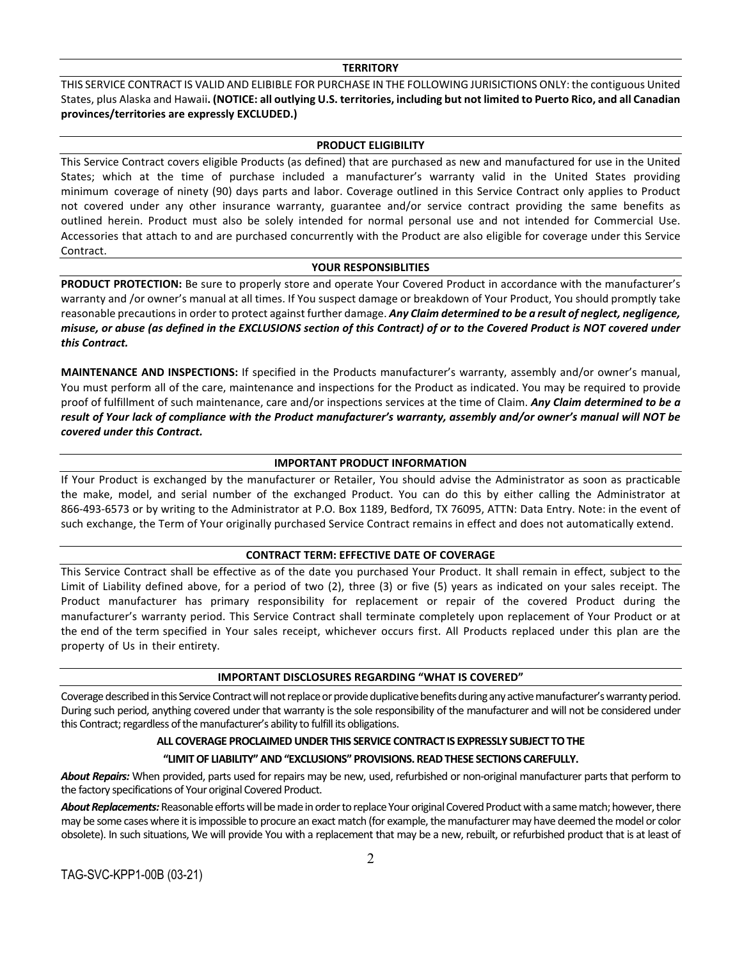#### **TERRITORY**

THIS SERVICE CONTRACT IS VALID AND ELIBIBLE FOR PURCHASE IN THE FOLLOWING JURISICTIONS ONLY: the contiguous United States, plus Alaska and Hawaii**. (NOTICE: all outlying U.S. territories, including but not limited to Puerto Rico, and all Canadian provinces/territories are expressly EXCLUDED.)**

### **PRODUCT ELIGIBILITY**

This Service Contract covers eligible Products (as defined) that are purchased as new and manufactured for use in the United States; which at the time of purchase included a manufacturer's warranty valid in the United States providing minimum coverage of ninety (90) days parts and labor. Coverage outlined in this Service Contract only applies to Product not covered under any other insurance warranty, guarantee and/or service contract providing the same benefits as outlined herein. Product must also be solely intended for normal personal use and not intended for Commercial Use. Accessories that attach to and are purchased concurrently with the Product are also eligible for coverage under this Service Contract.

### **YOUR RESPONSIBLITIES**

**PRODUCT PROTECTION:** Be sure to properly store and operate Your Covered Product in accordance with the manufacturer's warranty and /or owner's manual at all times. If You suspect damage or breakdown of Your Product, You should promptly take reasonable precautions in order to protect against further damage. *Any Claim determined to be a result of neglect, negligence, misuse, or abuse (as defined in the EXCLUSIONS section of this Contract) of or to the Covered Product is NOT covered under this Contract.* 

**MAINTENANCE AND INSPECTIONS:** If specified in the Products manufacturer's warranty, assembly and/or owner's manual, You must perform all of the care, maintenance and inspections for the Product as indicated. You may be required to provide proof of fulfillment of such maintenance, care and/or inspections services at the time of Claim. *Any Claim determined to be a result of Your lack of compliance with the Product manufacturer's warranty, assembly and/or owner's manual will NOT be covered under this Contract.*

# **IMPORTANT PRODUCT INFORMATION**

If Your Product is exchanged by the manufacturer or Retailer, You should advise the Administrator as soon as practicable the make, model, and serial number of the exchanged Product. You can do this by either calling the Administrator at 866-493-6573 or by writing to the Administrator at P.O. Box 1189, Bedford, TX 76095, ATTN: Data Entry. Note: in the event of such exchange, the Term of Your originally purchased Service Contract remains in effect and does not automatically extend.

### **CONTRACT TERM: EFFECTIVE DATE OF COVERAGE**

This Service Contract shall be effective as of the date you purchased Your Product. It shall remain in effect, subject to the Limit of Liability defined above, for a period of two (2), three (3) or five (5) years as indicated on your sales receipt. The Product manufacturer has primary responsibility for replacement or repair of the covered Product during the manufacturer's warranty period. This Service Contract shall terminate completely upon replacement of Your Product or at the end of the term specified in Your sales receipt, whichever occurs first. All Products replaced under this plan are the property of Us in their entirety.

### **IMPORTANT DISCLOSURES REGARDING "WHAT IS COVERED"**

Coverage described in this Service Contract will not replace or provide duplicative benefits during any active manufacturer's warranty period. During such period, anything covered under that warranty is the sole responsibility of the manufacturer and will not be considered under this Contract; regardless of the manufacturer's ability to fulfill its obligations.

# **ALL COVERAGE PROCLAIMED UNDER THIS SERVICE CONTRACT IS EXPRESSLY SUBJECT TO THE**

# **"LIMIT OF LIABILITY" AND "EXCLUSIONS" PROVISIONS. READ THESE SECTIONS CAREFULLY.**

*About Repairs:* When provided, parts used for repairs may be new, used, refurbished or non-original manufacturer parts that perform to the factory specifications of Your original Covered Product.

*About Replacements:*Reasonable efforts will be made in order to replace Your original Covered Product with a same match; however, there may be some cases where it is impossible to procure an exact match (for example, the manufacturer may have deemed the model or color obsolete). In such situations, We will provide You with a replacement that may be a new, rebuilt, or refurbished product that is at least of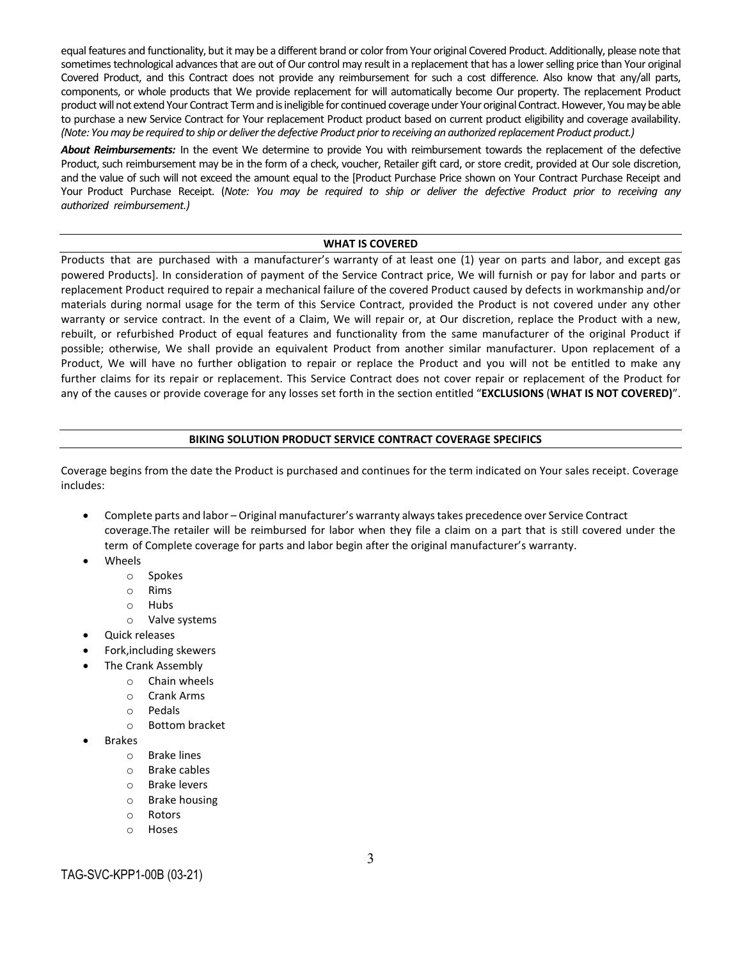equal features and functionality, but it may be a different brand or color from Your original Covered Product. Additionally, please note that sometimes technological advances that are out of Our control may result in a replacement that has a lower selling price than Your original Covered Product, and this Contract does not provide any reimbursement for such a cost difference. Also know that any/all parts, components, or whole products that We provide replacement for will automatically become Our property. The replacement Product product will not extend Your Contract Term and is ineligible for continued coverage under Your original Contract. However, You may be able to purchase a new Service Contract for Your replacement Product product based on current product eligibility and coverage availability. *(Note: You may be required to ship or deliver the defective Product prior to receiving an authorized replacement Product product.)*

*About Reimbursements:* In the event We determine to provide You with reimbursement towards the replacement of the defective Product, such reimbursement may be in the form of a check, voucher, Retailer gift card, or store credit, provided at Our sole discretion, and the value of such will not exceed the amount equal to the [Product Purchase Price shown on Your Contract Purchase Receipt and Your Product Purchase Receipt. (*Note: You may be required to ship or deliver the defective Product prior to receiving any authorized reimbursement.)* 

### **WHAT IS COVERED**

Products that are purchased with a manufacturer's warranty of at least one (1) year on parts and labor, and except gas powered Products]. In consideration of payment of the Service Contract price, We will furnish or pay for labor and parts or replacement Product required to repair a mechanical failure of the covered Product caused by defects in workmanship and/or materials during normal usage for the term of this Service Contract, provided the Product is not covered under any other warranty or service contract. In the event of a Claim, We will repair or, at Our discretion, replace the Product with a new, rebuilt, or refurbished Product of equal features and functionality from the same manufacturer of the original Product if possible; otherwise, We shall provide an equivalent Product from another similar manufacturer. Upon replacement of a Product, We will have no further obligation to repair or replace the Product and you will not be entitled to make any further claims for its repair or replacement. This Service Contract does not cover repair or replacement of the Product for any of the causes or provide coverage for any losses set forth in the section entitled "**EXCLUSIONS** (**WHAT IS NOT COVERED)**".

## **BIKING SOLUTION PRODUCT SERVICE CONTRACT COVERAGE SPECIFICS**

Coverage begins from the date the Product is purchased and continues for the term indicated on Your sales receipt. Coverage includes:

- Complete parts and labor Original manufacturer's warranty always takes precedence over Service Contract coverage.The retailer will be reimbursed for labor when they file a claim on a part that is still covered under the term of Complete coverage for parts and labor begin after the original manufacturer's warranty.
- **Wheels** 
	- o Spokes
	- o Rims
	- o Hubs
	- o Valve systems
- Quick releases
- Fork,including skewers
	- The Crank Assembly
		- o Chain wheels
		- o Crank Arms
		- o Pedals
		- o Bottom bracket
- **Brakes** 
	- o Brake lines
	- o Brake cables
	- o Brake levers
	- o Brake housing
	- o Rotors
	- o Hoses

# TAG-SVC-KPP1-00B (03-21)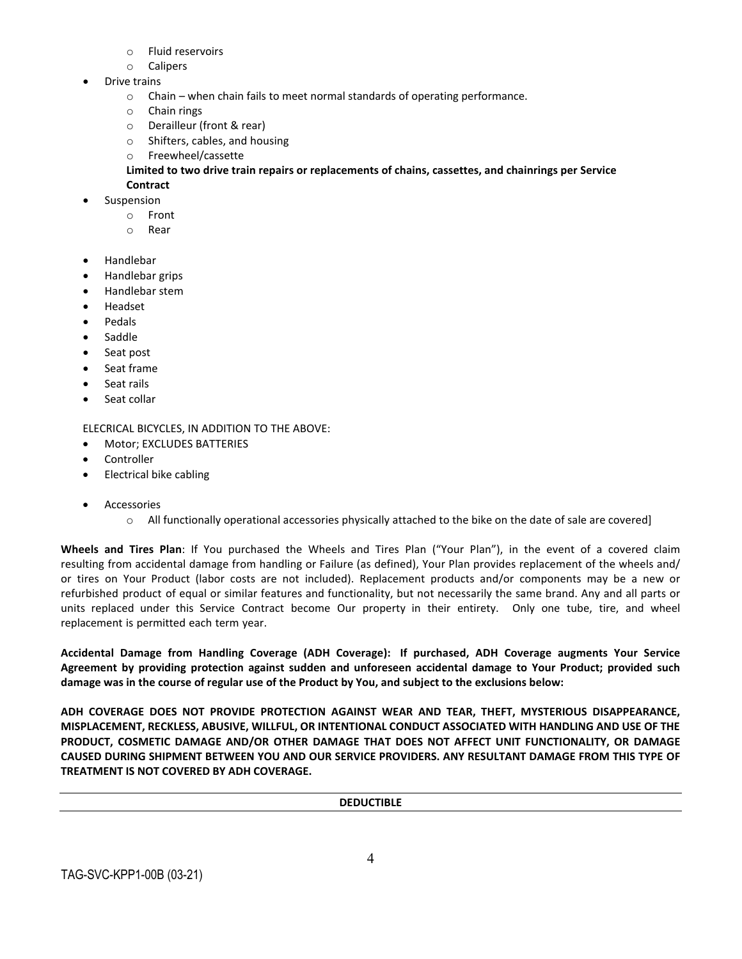- o Fluid reservoirs
- o Calipers
- Drive trains
	- $\circ$  Chain when chain fails to meet normal standards of operating performance.
	- o Chain rings
	- o Derailleur (front & rear)
	- o Shifters, cables, and housing
	- o Freewheel/cassette

# **Limited to two drive train repairs or replacements of chains, cassettes, and chainrings per Service Contract**

- **Suspension** 
	- o Front
	- o Rear
- Handlebar
- Handlebar grips
- Handlebar stem
- Headset
- Pedals
- **Saddle**
- Seat post
- Seat frame
- Seat rails
- Seat collar

ELECRICAL BICYCLES, IN ADDITION TO THE ABOVE:

- Motor; EXCLUDES BATTERIES
- **Controller**
- Electrical bike cabling
- **Accessories** 
	- o All functionally operational accessories physically attached to the bike on the date of sale are covered]

**Wheels and Tires Plan**: If You purchased the Wheels and Tires Plan ("Your Plan"), in the event of a covered claim resulting from accidental damage from handling or Failure (as defined), Your Plan provides replacement of the wheels and/ or tires on Your Product (labor costs are not included). Replacement products and/or components may be a new or refurbished product of equal or similar features and functionality, but not necessarily the same brand. Any and all parts or units replaced under this Service Contract become Our property in their entirety. Only one tube, tire, and wheel replacement is permitted each term year.

**Accidental Damage from Handling Coverage (ADH Coverage): If purchased, ADH Coverage augments Your Service Agreement by providing protection against sudden and unforeseen accidental damage to Your Product; provided such damage was in the course of regular use of the Product by You, and subject to the exclusions below:**

**ADH COVERAGE DOES NOT PROVIDE PROTECTION AGAINST WEAR AND TEAR, THEFT, MYSTERIOUS DISAPPEARANCE, MISPLACEMENT, RECKLESS, ABUSIVE, WILLFUL, OR INTENTIONAL CONDUCT ASSOCIATED WITH HANDLING AND USE OF THE PRODUCT, COSMETIC DAMAGE AND/OR OTHER DAMAGE THAT DOES NOT AFFECT UNIT FUNCTIONALITY, OR DAMAGE CAUSED DURING SHIPMENT BETWEEN YOU AND OUR SERVICE PROVIDERS. ANY RESULTANT DAMAGE FROM THIS TYPE OF TREATMENT IS NOT COVERED BY ADH COVERAGE.**

**DEDUCTIBLE**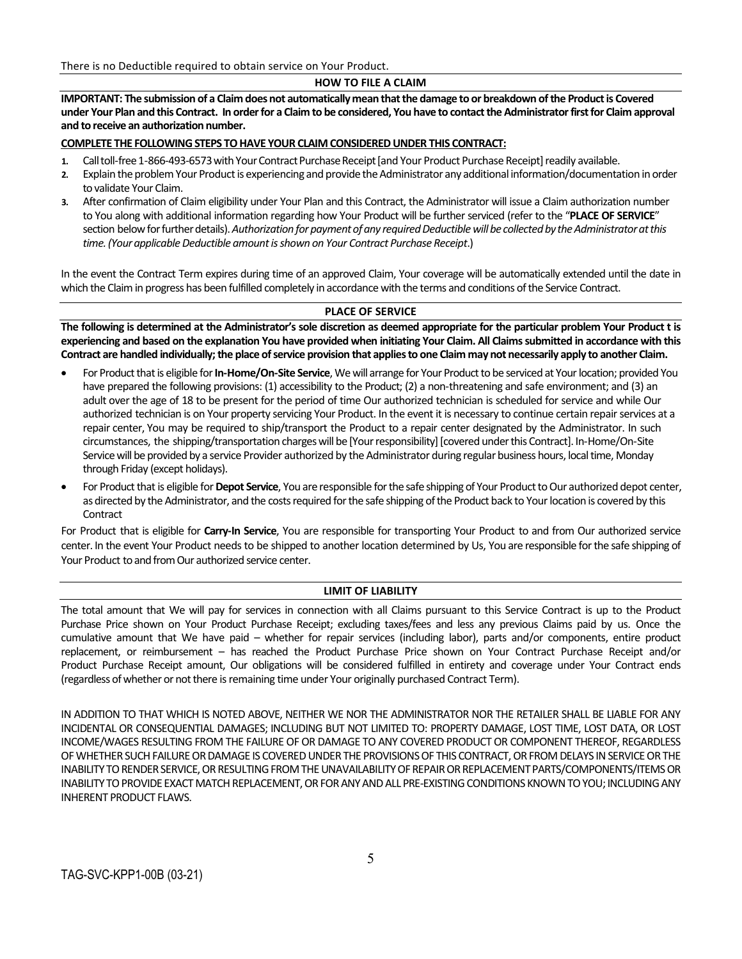There is no Deductible required to obtain service on Your Product.

## **HOW TO FILE A CLAIM**

**IMPORTANT: The submission of a Claim does not automatically mean that the damage to or breakdown of the Productis Covered under Your Plan and this Contract. In order for a Claim to be considered, You have to contact the Administrator first for Claim approval and to receive an authorization number.** 

### **COMPLETE THE FOLLOWING STEPS TO HAVE YOUR CLAIM CONSIDERED UNDER THIS CONTRACT:**

- 1. Call toll-free 1-866-493-6573 with Your Contract Purchase Receipt [and Your Product Purchase Receipt] readily available.
- 2. Explain the problem Your Product is experiencing and provide the Administrator any additional information/documentation in order to validate Your Claim.
- **3.** After confirmation of Claim eligibility under Your Plan and this Contract, the Administrator will issue a Claim authorization number to You along with additional information regarding how Your Product will be furtherserviced (refer to the "**PLACE OF SERVICE**" section below for further details). Authorization for payment of any required Deductible will be collected by the Administrator at this *time.(Yourapplicable Deductible amount is shown on Your Contract Purchase Receipt*.)

In the event the Contract Term expires during time of an approved Claim, Your coverage will be automatically extended until the date in which the Claim in progress has been fulfilled completely in accordance with the terms and conditions of the Service Contract.

# **PLACE OF SERVICE**

**The following is determined at the Administrator's sole discretion as deemed appropriate for the particular problem Your Product t is experiencing and based on the explanation You have provided when initiating Your Claim. All Claims submitted in accordance with this Contract are handled individually; the place of service provision that applies to one Claim may not necessarily apply to another Claim.**

- For Product that is eligible for In-Home/On-Site Service, We will arrange for Your Product to be serviced at Your location; provided You have prepared the following provisions: (1) accessibility to the Product; (2) a non-threatening and safe environment; and (3) an adult over the age of 18 to be present for the period of time Our authorized technician is scheduled for service and while Our authorized technician is on Your property servicing Your Product. In the event it is necessary to continue certain repair services at a repair center, You may be required to ship/transport the Product to a repair center designated by the Administrator. In such circumstances, the shipping/transportation chargeswill be [Your responsibility] [covered under this Contract]. In-Home/On-Site Service will be provided by a service Provider authorized by the Administrator during regular business hours, local time, Monday through Friday (except holidays).
- For Product that is eligible for Depot Service, You are responsible for the safe shipping of Your Product to Our authorized depot center, as directed by the Administrator, and the costs required for the safe shipping of the Product back to Your location is covered by this Contract

For Product that is eligible for **Carry-In Service**, You are responsible for transporting Your Product to and from Our authorized service center. In the event Your Product needs to be shipped to another location determined by Us, You are responsible for the safe shipping of Your Product to and from Our authorized service center.

# **LIMIT OF LIABILITY**

The total amount that We will pay for services in connection with all Claims pursuant to this Service Contract is up to the Product Purchase Price shown on Your Product Purchase Receipt; excluding taxes/fees and less any previous Claims paid by us. Once the cumulative amount that We have paid – whether for repair services (including labor), parts and/or components, entire product replacement, or reimbursement – has reached the Product Purchase Price shown on Your Contract Purchase Receipt and/or Product Purchase Receipt amount, Our obligations will be considered fulfilled in entirety and coverage under Your Contract ends (regardless of whether or not there is remaining time under Your originally purchased Contract Term).

IN ADDITION TO THAT WHICH IS NOTED ABOVE, NEITHER WE NOR THE ADMINISTRATOR NOR THE RETAILER SHALL BE LIABLE FOR ANY INCIDENTAL OR CONSEQUENTIAL DAMAGES; INCLUDING BUT NOT LIMITED TO: PROPERTY DAMAGE, LOST TIME, LOST DATA, OR LOST INCOME/WAGES RESULTING FROM THE FAILURE OF OR DAMAGE TO ANY COVERED PRODUCTOR COMPONENT THEREOF, REGARDLESS OF WHETHER SUCH FAILURE OR DAMAGE IS COVERED UNDER THE PROVISIONS OF THIS CONTRACT, OR FROM DELAYS IN SERVICE OR THE INABILITY TO RENDER SERVICE, OR RESULTING FROM THE UNAVAILABILITY OF REPAIR OR REPLACEMENT PARTS/COMPONENTS/ITEMS OR INABILITY TO PROVIDE EXACT MATCH REPLACEMENT, OR FOR ANY AND ALL PRE-EXISTING CONDITIONS KNOWN TO YOU; INCLUDING ANY INHERENT PRODUCT FLAWS.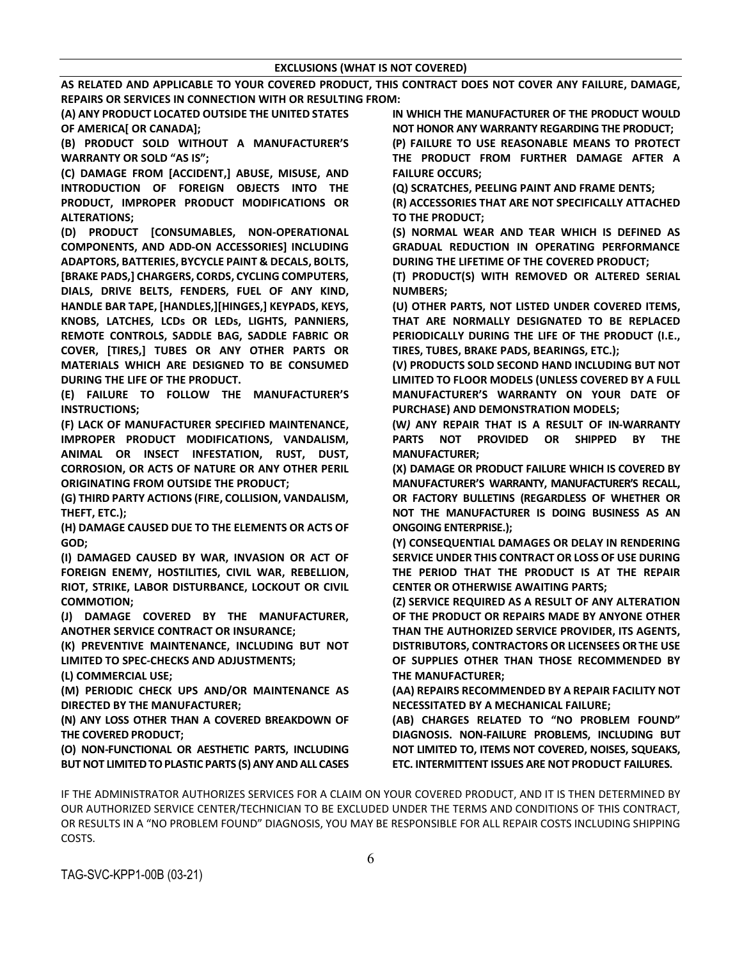**AS RELATED AND APPLICABLE TO YOUR COVERED PRODUCT, THIS CONTRACT DOES NOT COVER ANY FAILURE, DAMAGE, REPAIRS OR SERVICES IN CONNECTION WITH OR RESULTING FROM:**

**(A) ANY PRODUCT LOCATED OUTSIDE THE UNITED STATES OF AMERICA[ OR CANADA];** 

**(B) PRODUCT SOLD WITHOUT A MANUFACTURER'S WARRANTY OR SOLD "AS IS";**

**(C) DAMAGE FROM [ACCIDENT,] ABUSE, MISUSE, AND INTRODUCTION OF FOREIGN OBJECTS INTO THE PRODUCT, IMPROPER PRODUCT MODIFICATIONS OR ALTERATIONS;**

**(D) PRODUCT [CONSUMABLES, NON-OPERATIONAL COMPONENTS, AND ADD-ON ACCESSORIES] INCLUDING ADAPTORS, BATTERIES, BYCYCLE PAINT & DECALS, BOLTS, [BRAKE PADS,] CHARGERS, CORDS, CYCLING COMPUTERS, DIALS, DRIVE BELTS, FENDERS, FUEL OF ANY KIND, HANDLE BAR TAPE, [HANDLES,][HINGES,] KEYPADS, KEYS, KNOBS, LATCHES, LCDs OR LEDs, LIGHTS, PANNIERS, REMOTE CONTROLS, SADDLE BAG, SADDLE FABRIC OR COVER, [TIRES,] TUBES OR ANY OTHER PARTS OR MATERIALS WHICH ARE DESIGNED TO BE CONSUMED DURING THE LIFE OF THE PRODUCT.**

**(E) FAILURE TO FOLLOW THE MANUFACTURER'S INSTRUCTIONS;**

**(F) LACK OF MANUFACTURER SPECIFIED MAINTENANCE, IMPROPER PRODUCT MODIFICATIONS, VANDALISM, ANIMAL OR INSECT INFESTATION, RUST, DUST, CORROSION, OR ACTS OF NATURE OR ANY OTHER PERIL ORIGINATING FROM OUTSIDE THE PRODUCT;**

**(G) THIRD PARTY ACTIONS (FIRE, COLLISION, VANDALISM, THEFT, ETC.);**

**(H) DAMAGE CAUSED DUE TO THE ELEMENTS OR ACTS OF GOD;**

**(I) DAMAGED CAUSED BY WAR, INVASION OR ACT OF FOREIGN ENEMY, HOSTILITIES, CIVIL WAR, REBELLION, RIOT, STRIKE, LABOR DISTURBANCE, LOCKOUT OR CIVIL COMMOTION;**

**(J) DAMAGE COVERED BY THE MANUFACTURER, ANOTHER SERVICE CONTRACT OR INSURANCE;**

**(K) PREVENTIVE MAINTENANCE, INCLUDING BUT NOT LIMITED TO SPEC-CHECKS AND ADJUSTMENTS;**

**(L) COMMERCIAL USE;**

**(M) PERIODIC CHECK UPS AND/OR MAINTENANCE AS DIRECTED BY THE MANUFACTURER;**

**(N) ANY LOSS OTHER THAN A COVERED BREAKDOWN OF THE COVERED PRODUCT;**

**(O) NON-FUNCTIONAL OR AESTHETIC PARTS, INCLUDING BUT NOT LIMITED TO PLASTIC PARTS (S) ANY AND ALL CASES**  **IN WHICH THE MANUFACTURER OF THE PRODUCT WOULD NOT HONOR ANY WARRANTY REGARDING THE PRODUCT;** 

**(P) FAILURE TO USE REASONABLE MEANS TO PROTECT THE PRODUCT FROM FURTHER DAMAGE AFTER A FAILURE OCCURS;**

**(Q) SCRATCHES, PEELING PAINT AND FRAME DENTS;**

**(R) ACCESSORIES THAT ARE NOT SPECIFICALLY ATTACHED TO THE PRODUCT;**

**(S) NORMAL WEAR AND TEAR WHICH IS DEFINED AS GRADUAL REDUCTION IN OPERATING PERFORMANCE DURING THE LIFETIME OF THE COVERED PRODUCT;**

**(T) PRODUCT(S) WITH REMOVED OR ALTERED SERIAL NUMBERS;**

**(U) OTHER PARTS, NOT LISTED UNDER COVERED ITEMS, THAT ARE NORMALLY DESIGNATED TO BE REPLACED PERIODICALLY DURING THE LIFE OF THE PRODUCT (I.E., TIRES, TUBES, BRAKE PADS, BEARINGS, ETC.);**

**(V) PRODUCTS SOLD SECOND HAND INCLUDING BUT NOT LIMITED TO FLOOR MODELS (UNLESS COVERED BY A FULL MANUFACTURER'S WARRANTY ON YOUR DATE OF PURCHASE) AND DEMONSTRATION MODELS;**

**(W***)* **ANY REPAIR THAT IS A RESULT OF IN-WARRANTY PARTS NOT PROVIDED OR SHIPPED BY THE MANUFACTURER;**

**(X) DAMAGE OR PRODUCT FAILURE WHICH IS COVERED BY MANUFACTURER'S WARRANTY, MANUFACTURER'S RECALL, OR FACTORY BULLETINS (REGARDLESS OF WHETHER OR NOT THE MANUFACTURER IS DOING BUSINESS AS AN ONGOING ENTERPRISE.);**

**(Y) CONSEQUENTIAL DAMAGES OR DELAY IN RENDERING SERVICE UNDER THIS CONTRACT OR LOSS OF USE DURING THE PERIOD THAT THE PRODUCT IS AT THE REPAIR CENTER OR OTHERWISE AWAITING PARTS;**

**(Z) SERVICE REQUIRED AS A RESULT OF ANY ALTERATION OF THE PRODUCT OR REPAIRS MADE BY ANYONE OTHER THAN THE AUTHORIZED SERVICE PROVIDER, ITS AGENTS, DISTRIBUTORS, CONTRACTORS OR LICENSEES OR THE USE OF SUPPLIES OTHER THAN THOSE RECOMMENDED BY THE MANUFACTURER;**

**(AA) REPAIRS RECOMMENDED BY A REPAIR FACILITY NOT NECESSITATED BY A MECHANICAL FAILURE;**

**(AB) CHARGES RELATED TO "NO PROBLEM FOUND" DIAGNOSIS. NON-FAILURE PROBLEMS, INCLUDING BUT NOT LIMITED TO, ITEMS NOT COVERED, NOISES, SQUEAKS, ETC. INTERMITTENT ISSUES ARE NOT PRODUCT FAILURES.**

IF THE ADMINISTRATOR AUTHORIZES SERVICES FOR A CLAIM ON YOUR COVERED PRODUCT, AND IT IS THEN DETERMINED BY OUR AUTHORIZED SERVICE CENTER/TECHNICIAN TO BE EXCLUDED UNDER THE TERMS AND CONDITIONS OF THIS CONTRACT, OR RESULTS IN A "NO PROBLEM FOUND" DIAGNOSIS, YOU MAY BE RESPONSIBLE FOR ALL REPAIR COSTS INCLUDING SHIPPING COSTS.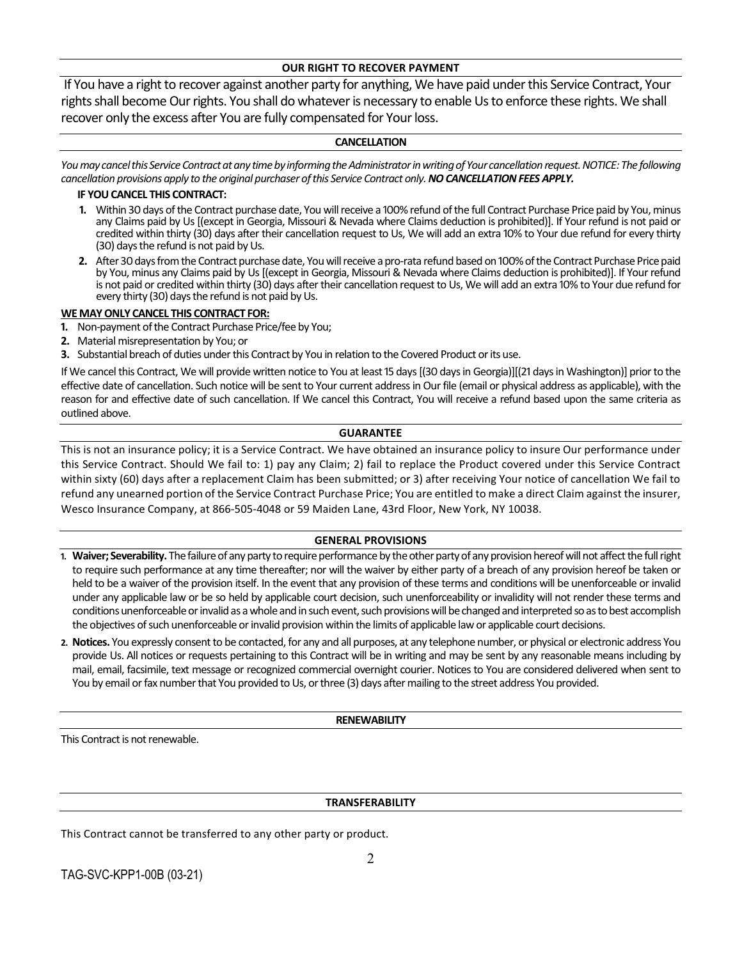## **OUR RIGHT TO RECOVER PAYMENT**

If You have a right to recover against another party for anything, We have paid under this Service Contract, Your rights shall become Our rights. You shall do whatever is necessary to enable Us to enforce these rights. We shall recover only the excess after You are fully compensated for Your loss.

### **CANCELLATION**

You may cancel this Service Contract at any time by informing the Administrator in writing of Your cancellation request. NOTICE: The following *cancellation provisions apply to the original purchaser of this Service Contract only.NO CANCELLATION FEES APPLY.*

### **IF YOU CANCEL THIS CONTRACT:**

- **1.** Within 30 days of the Contract purchase date, You will receive a 100% refund of the full Contract Purchase Price paid by You, minus any Claims paid by Us [(except in Georgia, Missouri & Nevada where Claims deduction is prohibited)]. If Your refund is not paid or credited within thirty (30) days after their cancellation request to Us, We will add an extra 10% to Your due refund for every thirty (30) days the refund is not paid by Us.
- **2.** After 30 days from the Contract purchase date, You will receive a pro-rata refund based on 100% of the Contract Purchase Price paid by You, minus any Claims paid by Us [(except in Georgia, Missouri & Nevada where Claims deduction is prohibited)]. If Your refund is not paid or credited within thirty (30) days after their cancellation request to Us, We will add an extra 10% to Your due refund for every thirty (30) days the refund is not paid by Us.

### **WE MAY ONLY CANCEL THIS CONTRACT FOR:**

- **1.** Non-payment of the Contract Purchase Price/fee by You;
- **2.** Material misrepresentation by You; or
- **3.** Substantial breach of duties under this Contract by You in relation to the Covered Product or its use.

If We cancel this Contract, We will provide written notice to You at least 15 days [(30 days in Georgia)][(21 days in Washington)] prior to the effective date of cancellation. Such notice will be sent to Your current address in Our file (email or physical address as applicable), with the reason for and effective date of such cancellation. If We cancel this Contract, You will receive a refund based upon the same criteria as outlined above.

### **GUARANTEE**

This is not an insurance policy; it is a Service Contract. We have obtained an insurance policy to insure Our performance under this Service Contract. Should We fail to: 1) pay any Claim; 2) fail to replace the Product covered under this Service Contract within sixty (60) days after a replacement Claim has been submitted; or 3) after receiving Your notice of cancellation We fail to refund any unearned portion of the Service Contract Purchase Price; You are entitled to make a direct Claim against the insurer, Wesco Insurance Company, at 866-505-4048 or 59 Maiden Lane, 43rd Floor, New York, NY 10038.

# **GENERAL PROVISIONS**

- **1. Waiver; Severability.** The failure of any party to require performance by the other party of any provision hereof will not affect the full right to require such performance at any time thereafter; nor will the waiver by either party of a breach of any provision hereof be taken or held to be a waiver of the provision itself. In the event that any provision of these terms and conditions will be unenforceable or invalid under any applicable law or be so held by applicable court decision, such unenforceability or invalidity will not render these terms and conditions unenforceable or invalid as a whole and in such event, such provisions will be changed and interpreted so as to best accomplish the objectives of such unenforceable or invalid provision within the limits of applicable lawor applicable court decisions.
- **2. Notices.** You expressly consent to be contacted, for any and all purposes, at any telephone number, or physical or electronic address You provide Us. All notices or requests pertaining to this Contract will be in writing and may be sent by any reasonable means including by mail, email, facsimile, text message or recognized commercial overnight courier. Notices to You are considered delivered when sent to You by email or fax number that You provided to Us, or three (3) days after mailing to the street address You provided.

### **RENEWABILITY**

This Contract is not renewable.

### **TRANSFERABILITY**

This Contract cannot be transferred to any other party or product.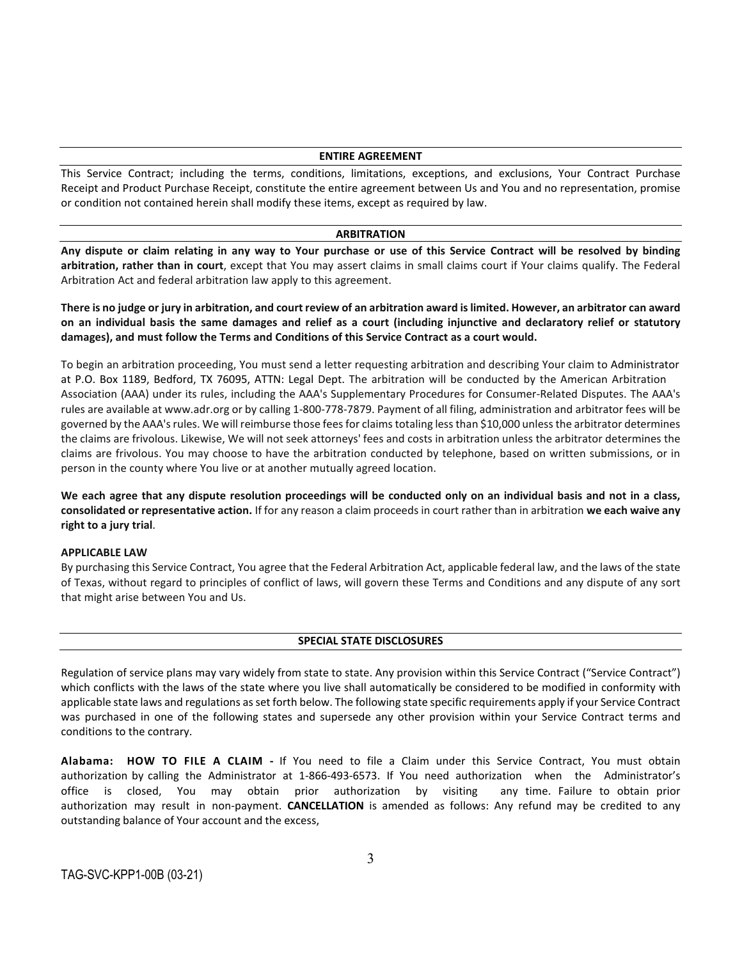#### **ENTIRE AGREEMENT**

This Service Contract; including the terms, conditions, limitations, exceptions, and exclusions, Your Contract Purchase Receipt and Product Purchase Receipt, constitute the entire agreement between Us and You and no representation, promise or condition not contained herein shall modify these items, except as required by law.

#### **ARBITRATION**

**Any dispute or claim relating in any way to Your purchase or use of this Service Contract will be resolved by binding arbitration, rather than in court**, except that You may assert claims in small claims court if Your claims qualify. The Federal Arbitration Act and federal arbitration law apply to this agreement.

**There is no judge or jury in arbitration, and court review of an arbitration award is limited. However, an arbitrator can award on an individual basis the same damages and relief as a court (including injunctive and declaratory relief or statutory damages), and must follow the Terms and Conditions of this Service Contract as a court would.**

To begin an arbitration proceeding, You must send a letter requesting arbitration and describing Your claim to Administrator at P.O. Box 1189, Bedford, TX 76095, ATTN: Legal Dept. The arbitration will be conducted by the American Arbitration Association (AAA) under its rules, including the AAA's Supplementary Procedures for Consumer-Related Disputes. The AAA's rules are available at www.adr.org or by calling 1-800-778-7879. Payment of all filing, administration and arbitrator fees will be governed by the AAA's rules. We will reimburse those fees for claims totaling less than \$10,000 unless the arbitrator determines the claims are frivolous. Likewise, We will not seek attorneys' fees and costs in arbitration unless the arbitrator determines the claims are frivolous. You may choose to have the arbitration conducted by telephone, based on written submissions, or in person in the county where You live or at another mutually agreed location.

**We each agree that any dispute resolution proceedings will be conducted only on an individual basis and not in a class, consolidated or representative action.** If for any reason a claim proceeds in court rather than in arbitration **we each waive any right to a jury trial**.

### **APPLICABLE LAW**

By purchasing this Service Contract, You agree that the Federal Arbitration Act, applicable federal law, and the laws of the state of Texas, without regard to principles of conflict of laws, will govern these Terms and Conditions and any dispute of any sort that might arise between You and Us.

### **SPECIAL STATE DISCLOSURES**

Regulation of service plans may vary widely from state to state. Any provision within this Service Contract ("Service Contract") which conflicts with the laws of the state where you live shall automatically be considered to be modified in conformity with applicable state laws and regulations as set forth below. The following state specific requirements apply if your Service Contract was purchased in one of the following states and supersede any other provision within your Service Contract terms and conditions to the contrary.

**Alabama: HOW TO FILE A CLAIM -** If You need to file a Claim under this Service Contract, You must obtain authorization by calling the Administrator at 1-866-493-6573. If You need authorization when the Administrator's office is closed, You may obtain prior authorization by visiting any time. Failure to obtain prior authorization may result in non-payment. **CANCELLATION** is amended as follows: Any refund may be credited to any outstanding balance of Your account and the excess,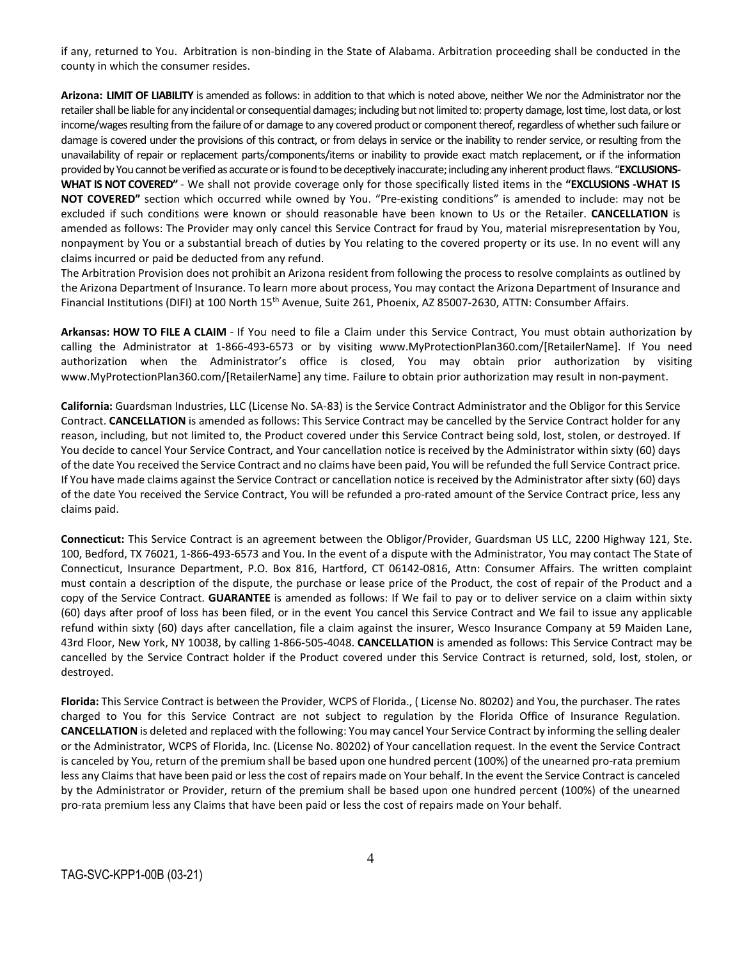if any, returned to You. Arbitration is non-binding in the State of Alabama. Arbitration proceeding shall be conducted in the county in which the consumer resides.

**Arizona: LIMIT OF LIABILITY** is amended as follows: in addition to that which is noted above, neither We nor the Administrator nor the retailer shall be liable for any incidental or consequential damages; including but not limited to: property damage, lost time, lost data, or lost income/wages resulting from the failure of or damage to any covered product or component thereof, regardless of whether such failure or damage is covered under the provisions of this contract, or from delays in service or the inability to render service, or resulting from the unavailability of repair or replacement parts/components/items or inability to provide exact match replacement, or if the information provided by You cannot be verified as accurate or is found to be deceptively inaccurate; including any inherent product flaws. "**EXCLUSIONS-WHAT IS NOT COVERED"** - We shall not provide coverage only for those specifically listed items in the **"EXCLUSIONS -WHAT IS NOT COVERED"** section which occurred while owned by You. "Pre-existing conditions" is amended to include: may not be excluded if such conditions were known or should reasonable have been known to Us or the Retailer. **CANCELLATION** is amended as follows: The Provider may only cancel this Service Contract for fraud by You, material misrepresentation by You, nonpayment by You or a substantial breach of duties by You relating to the covered property or its use. In no event will any claims incurred or paid be deducted from any refund.

The Arbitration Provision does not prohibit an Arizona resident from following the process to resolve complaints as outlined by the Arizona Department of Insurance. To learn more about process, You may contact the Arizona Department of Insurance and Financial Institutions (DIFI) at 100 North 15<sup>th</sup> Avenue, Suite 261, Phoenix, AZ 85007-2630, ATTN: Consumber Affairs.

**Arkansas: HOW TO FILE A CLAIM** - If You need to file a Claim under this Service Contract, You must obtain authorization by calling the Administrator at 1-866-493-6573 or by visiting www.MyProtectionPlan360.com/[RetailerName]. If You need authorization when the Administrator's office is closed, You may obtain prior authorization by visiting www.MyProtectionPlan360.com/[RetailerName] any time. Failure to obtain prior authorization may result in non-payment.

**California:** Guardsman Industries, LLC (License No. SA-83) is the Service Contract Administrator and the Obligor for this Service Contract. **CANCELLATION** is amended as follows: This Service Contract may be cancelled by the Service Contract holder for any reason, including, but not limited to, the Product covered under this Service Contract being sold, lost, stolen, or destroyed. If You decide to cancel Your Service Contract, and Your cancellation notice is received by the Administrator within sixty (60) days of the date You received the Service Contract and no claims have been paid, You will be refunded the full Service Contract price. If You have made claims against the Service Contract or cancellation notice is received by the Administrator after sixty (60) days of the date You received the Service Contract, You will be refunded a pro-rated amount of the Service Contract price, less any claims paid.

**Connecticut:** This Service Contract is an agreement between the Obligor/Provider, Guardsman US LLC, 2200 Highway 121, Ste. 100, Bedford, TX 76021, 1-866-493-6573 and You. In the event of a dispute with the Administrator, You may contact The State of Connecticut, Insurance Department, P.O. Box 816, Hartford, CT 06142-0816, Attn: Consumer Affairs. The written complaint must contain a description of the dispute, the purchase or lease price of the Product, the cost of repair of the Product and a copy of the Service Contract. **GUARANTEE** is amended as follows: If We fail to pay or to deliver service on a claim within sixty (60) days after proof of loss has been filed, or in the event You cancel this Service Contract and We fail to issue any applicable refund within sixty (60) days after cancellation, file a claim against the insurer, Wesco Insurance Company at 59 Maiden Lane, 43rd Floor, New York, NY 10038, by calling 1-866-505-4048. **CANCELLATION** is amended as follows: This Service Contract may be cancelled by the Service Contract holder if the Product covered under this Service Contract is returned, sold, lost, stolen, or destroyed.

**Florida:** This Service Contract is between the Provider, WCPS of Florida., ( License No. 80202) and You, the purchaser. The rates charged to You for this Service Contract are not subject to regulation by the Florida Office of Insurance Regulation. **CANCELLATION** is deleted and replaced with the following: You may cancel Your Service Contract by informing the selling dealer or the Administrator, WCPS of Florida, Inc. (License No. 80202) of Your cancellation request. In the event the Service Contract is canceled by You, return of the premium shall be based upon one hundred percent (100%) of the unearned pro-rata premium less any Claims that have been paid or less the cost of repairs made on Your behalf. In the event the Service Contract is canceled by the Administrator or Provider, return of the premium shall be based upon one hundred percent (100%) of the unearned pro-rata premium less any Claims that have been paid or less the cost of repairs made on Your behalf.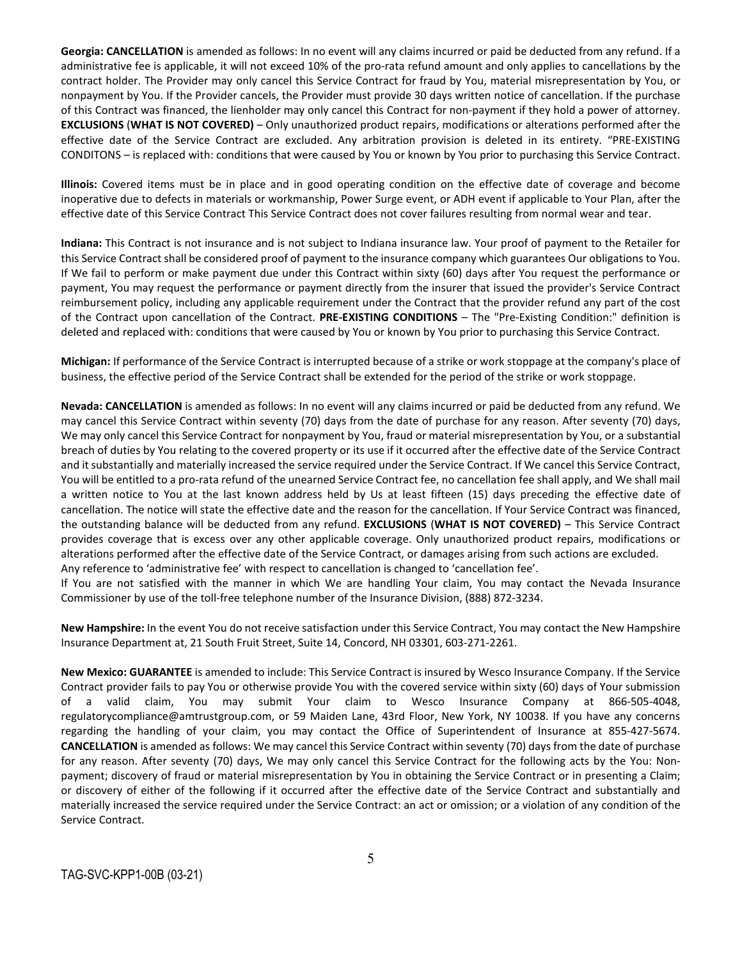**Georgia: CANCELLATION** is amended as follows: In no event will any claims incurred or paid be deducted from any refund. If a administrative fee is applicable, it will not exceed 10% of the pro-rata refund amount and only applies to cancellations by the contract holder. The Provider may only cancel this Service Contract for fraud by You, material misrepresentation by You, or nonpayment by You. If the Provider cancels, the Provider must provide 30 days written notice of cancellation. If the purchase of this Contract was financed, the lienholder may only cancel this Contract for non-payment if they hold a power of attorney. **EXCLUSIONS** (**WHAT IS NOT COVERED)** – Only unauthorized product repairs, modifications or alterations performed after the effective date of the Service Contract are excluded. Any arbitration provision is deleted in its entirety. "PRE-EXISTING CONDITONS – is replaced with: conditions that were caused by You or known by You prior to purchasing this Service Contract.

**Illinois:** Covered items must be in place and in good operating condition on the effective date of coverage and become inoperative due to defects in materials or workmanship, Power Surge event, or ADH event if applicable to Your Plan, after the effective date of this Service Contract This Service Contract does not cover failures resulting from normal wear and tear.

**Indiana:** This Contract is not insurance and is not subject to Indiana insurance law. Your proof of payment to the Retailer for this Service Contract shall be considered proof of payment to the insurance company which guarantees Our obligations to You. If We fail to perform or make payment due under this Contract within sixty (60) days after You request the performance or payment, You may request the performance or payment directly from the insurer that issued the provider's Service Contract reimbursement policy, including any applicable requirement under the Contract that the provider refund any part of the cost of the Contract upon cancellation of the Contract. **PRE-EXISTING CONDITIONS** – The "Pre-Existing Condition:" definition is deleted and replaced with: conditions that were caused by You or known by You prior to purchasing this Service Contract.

**Michigan:** If performance of the Service Contract is interrupted because of a strike or work stoppage at the company's place of business, the effective period of the Service Contract shall be extended for the period of the strike or work stoppage.

**Nevada: CANCELLATION** is amended as follows: In no event will any claims incurred or paid be deducted from any refund. We may cancel this Service Contract within seventy (70) days from the date of purchase for any reason. After seventy (70) days, We may only cancel this Service Contract for nonpayment by You, fraud or material misrepresentation by You, or a substantial breach of duties by You relating to the covered property or its use if it occurred after the effective date of the Service Contract and it substantially and materially increased the service required under the Service Contract. If We cancel this Service Contract, You will be entitled to a pro-rata refund of the unearned Service Contract fee, no cancellation fee shall apply, and We shall mail a written notice to You at the last known address held by Us at least fifteen (15) days preceding the effective date of cancellation. The notice will state the effective date and the reason for the cancellation. If Your Service Contract was financed, the outstanding balance will be deducted from any refund. **EXCLUSIONS** (**WHAT IS NOT COVERED)** – This Service Contract provides coverage that is excess over any other applicable coverage. Only unauthorized product repairs, modifications or alterations performed after the effective date of the Service Contract, or damages arising from such actions are excluded. Any reference to 'administrative fee' with respect to cancellation is changed to 'cancellation fee'.

If You are not satisfied with the manner in which We are handling Your claim, You may contact the Nevada Insurance Commissioner by use of the toll-free telephone number of the Insurance Division, (888) 872-3234.

**New Hampshire:** In the event You do not receive satisfaction under this Service Contract, You may contact the New Hampshire Insurance Department at, 21 South Fruit Street, Suite 14, Concord, NH 03301, 603-271-2261.

**New Mexico: GUARANTEE** is amended to include: This Service Contract is insured by Wesco Insurance Company. If the Service Contract provider fails to pay You or otherwise provide You with the covered service within sixty (60) days of Your submission of a valid claim, You may submit Your claim to Wesco Insurance Company at 866-505-4048, regulatorycompliance@amtrustgroup.com, or 59 Maiden Lane, 43rd Floor, New York, NY 10038. If you have any concerns regarding the handling of your claim, you may contact the Office of Superintendent of Insurance at 855-427-5674. **CANCELLATION** is amended as follows: We may cancel this Service Contract within seventy (70) days from the date of purchase for any reason. After seventy (70) days, We may only cancel this Service Contract for the following acts by the You: Nonpayment; discovery of fraud or material misrepresentation by You in obtaining the Service Contract or in presenting a Claim; or discovery of either of the following if it occurred after the effective date of the Service Contract and substantially and materially increased the service required under the Service Contract: an act or omission; or a violation of any condition of the Service Contract.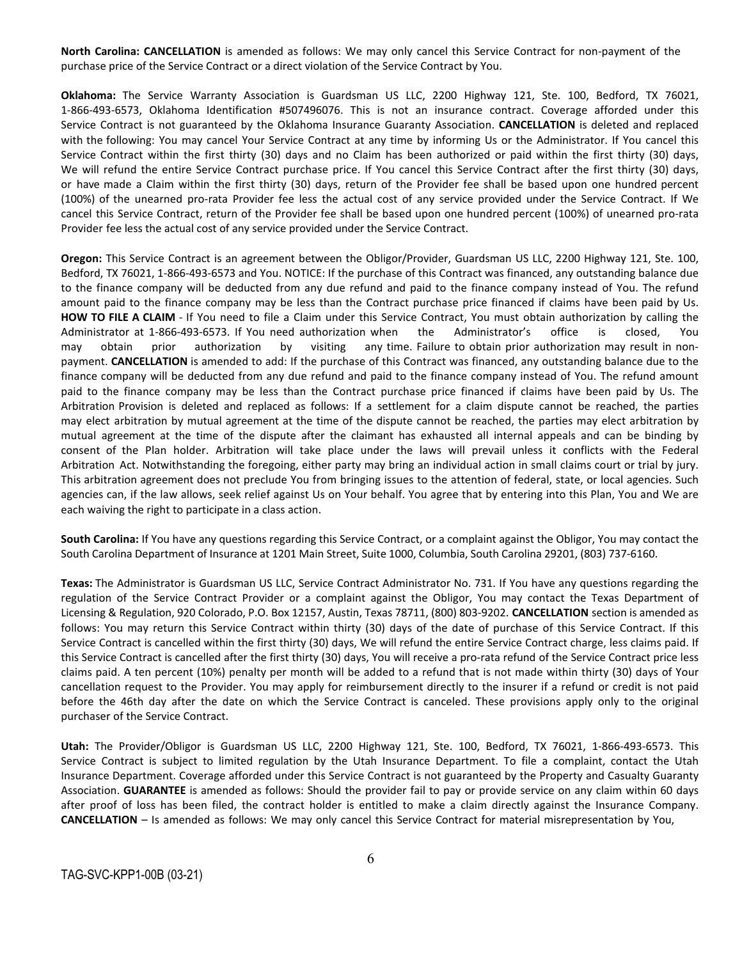**North Carolina: CANCELLATION** is amended as follows: We may only cancel this Service Contract for non-payment of the purchase price of the Service Contract or a direct violation of the Service Contract by You.

**Oklahoma:** The Service Warranty Association is Guardsman US LLC, 2200 Highway 121, Ste. 100, Bedford, TX 76021, 1-866-493-6573, Oklahoma Identification #507496076. This is not an insurance contract. Coverage afforded under this Service Contract is not guaranteed by the Oklahoma Insurance Guaranty Association. **CANCELLATION** is deleted and replaced with the following: You may cancel Your Service Contract at any time by informing Us or the Administrator. If You cancel this Service Contract within the first thirty (30) days and no Claim has been authorized or paid within the first thirty (30) days, We will refund the entire Service Contract purchase price. If You cancel this Service Contract after the first thirty (30) days, or have made a Claim within the first thirty (30) days, return of the Provider fee shall be based upon one hundred percent (100%) of the unearned pro-rata Provider fee less the actual cost of any service provided under the Service Contract. If We cancel this Service Contract, return of the Provider fee shall be based upon one hundred percent (100%) of unearned pro-rata Provider fee less the actual cost of any service provided under the Service Contract.

**Oregon:** This Service Contract is an agreement between the Obligor/Provider, Guardsman US LLC, 2200 Highway 121, Ste. 100, Bedford, TX 76021, 1-866-493-6573 and You. NOTICE: If the purchase of this Contract was financed, any outstanding balance due to the finance company will be deducted from any due refund and paid to the finance company instead of You. The refund amount paid to the finance company may be less than the Contract purchase price financed if claims have been paid by Us. **HOW TO FILE A CLAIM** - If You need to file a Claim under this Service Contract, You must obtain authorization by calling the Administrator at 1-866-493-6573. If You need authorization when the Administrator's office is closed, You may obtain prior authorization by visiting any time. Failure to obtain prior authorization may result in nonpayment. **CANCELLATION** is amended to add: If the purchase of this Contract was financed, any outstanding balance due to the finance company will be deducted from any due refund and paid to the finance company instead of You. The refund amount paid to the finance company may be less than the Contract purchase price financed if claims have been paid by Us. The Arbitration Provision is deleted and replaced as follows: If a settlement for a claim dispute cannot be reached, the parties may elect arbitration by mutual agreement at the time of the dispute cannot be reached, the parties may elect arbitration by mutual agreement at the time of the dispute after the claimant has exhausted all internal appeals and can be binding by consent of the Plan holder. Arbitration will take place under the laws will prevail unless it conflicts with the Federal Arbitration Act. Notwithstanding the foregoing, either party may bring an individual action in small claims court or trial by jury. This arbitration agreement does not preclude You from bringing issues to the attention of federal, state, or local agencies. Such agencies can, if the law allows, seek relief against Us on Your behalf. You agree that by entering into this Plan, You and We are each waiving the right to participate in a class action.

**South Carolina:** If You have any questions regarding this Service Contract, or a complaint against the Obligor, You may contact the South Carolina Department of Insurance at 1201 Main Street, Suite 1000, Columbia, South Carolina 29201, (803) 737-6160.

**Texas:** The Administrator is Guardsman US LLC, Service Contract Administrator No. 731. If You have any questions regarding the regulation of the Service Contract Provider or a complaint against the Obligor, You may contact the Texas Department of Licensing & Regulation, 920 Colorado, P.O. Box 12157, Austin, Texas 78711, (800) 803-9202. **CANCELLATION** section is amended as follows: You may return this Service Contract within thirty (30) days of the date of purchase of this Service Contract. If this Service Contract is cancelled within the first thirty (30) days, We will refund the entire Service Contract charge, less claims paid. If this Service Contract is cancelled after the first thirty (30) days, You will receive a pro-rata refund of the Service Contract price less claims paid. A ten percent (10%) penalty per month will be added to a refund that is not made within thirty (30) days of Your cancellation request to the Provider. You may apply for reimbursement directly to the insurer if a refund or credit is not paid before the 46th day after the date on which the Service Contract is canceled. These provisions apply only to the original purchaser of the Service Contract.

**Utah:** The Provider/Obligor is Guardsman US LLC, 2200 Highway 121, Ste. 100, Bedford, TX 76021, 1-866-493-6573. This Service Contract is subject to limited regulation by the Utah Insurance Department. To file a complaint, contact the Utah Insurance Department. Coverage afforded under this Service Contract is not guaranteed by the Property and Casualty Guaranty Association. **GUARANTEE** is amended as follows: Should the provider fail to pay or provide service on any claim within 60 days after proof of loss has been filed, the contract holder is entitled to make a claim directly against the Insurance Company. **CANCELLATION** – Is amended as follows: We may only cancel this Service Contract for material misrepresentation by You,